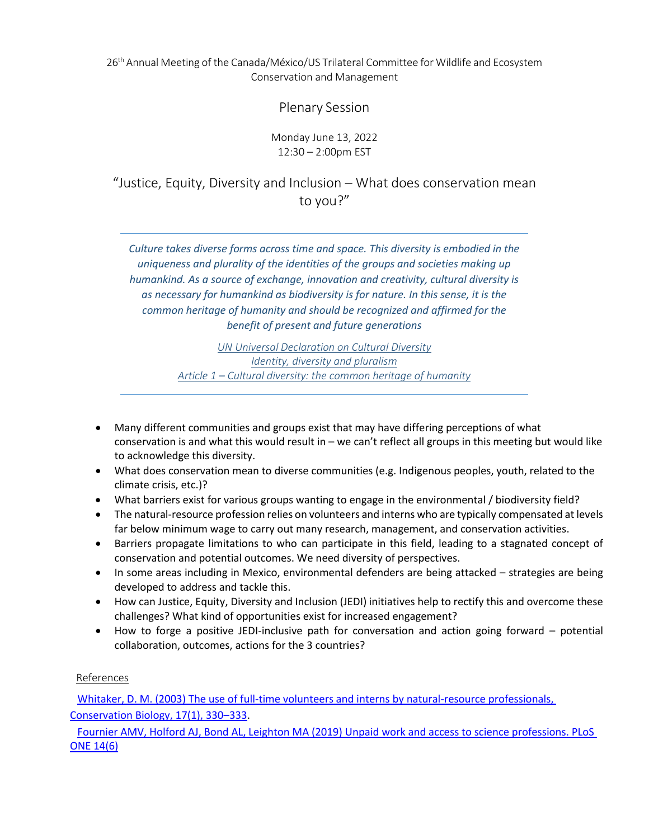26<sup>th</sup> Annual Meeting of the Canada/México/US Trilateral Committee for Wildlife and Ecosystem Conservation and Management

Plenary Session

Monday June 13, 2022 12:30 – 2:00pm EST

"Justice, Equity, Diversity and Inclusion – What does conservation mean to you?"

*Culture takes diverse forms across time and space. This diversity is embodied in the uniqueness and plurality of the identities of the groups and societies making up humankind. As a source of exchange, innovation and creativity, cultural diversity is as necessary for humankind as biodiversity is for nature. In this sense, it is the common heritage of humanity and should be recognized and affirmed for the benefit of present and future generations*

> *UN Universal Declaration on Cultural Diversity Identity, diversity and pluralism Article 1 – Cultural diversity: the common heritage of humanity*

- Many different communities and groups exist that may have differing perceptions of what conservation is and what this would result in – we can't reflect all groups in this meeting but would like to acknowledge this diversity.
- What does conservation mean to diverse communities (e.g. Indigenous peoples, youth, related to the climate crisis, etc.)?
- What barriers exist for various groups wanting to engage in the environmental / biodiversity field?
- The natural-resource profession relies on volunteers and interns who are typically compensated at levels far below minimum wage to carry out many research, management, and conservation activities.
- Barriers propagate limitations to who can participate in this field, leading to a stagnated concept of conservation and potential outcomes. We need diversity of perspectives.
- In some areas including in Mexico, environmental defenders are being attacked strategies are being developed to address and tackle this.
- How can Justice, Equity, Diversity and Inclusion (JEDI) initiatives help to rectify this and overcome these challenges? What kind of opportunities exist for increased engagement?
- How to forge a positive JEDI-inclusive path for conversation and action going forward potential collaboration, outcomes, actions for the 3 countries?

#### References

[Whitaker, D. M. \(2003\) The use of full-time volunteers and interns by natural-resource professionals,](https://conbio.onlinelibrary.wiley.com/doi/full/10.1046/j.1523-1739.2003.01503.x)  [Conservation Biology, 17\(1\), 330](https://conbio.onlinelibrary.wiley.com/doi/full/10.1046/j.1523-1739.2003.01503.x)–333.

[Fournier AMV, Holford AJ, Bond AL, Leighton MA \(2019\) Unpaid work and access to science professions. PLoS](https://journals.plos.org/plosone/article?id=10.1371/journal.pone.0217032)  [ONE 14\(6\)](https://journals.plos.org/plosone/article?id=10.1371/journal.pone.0217032)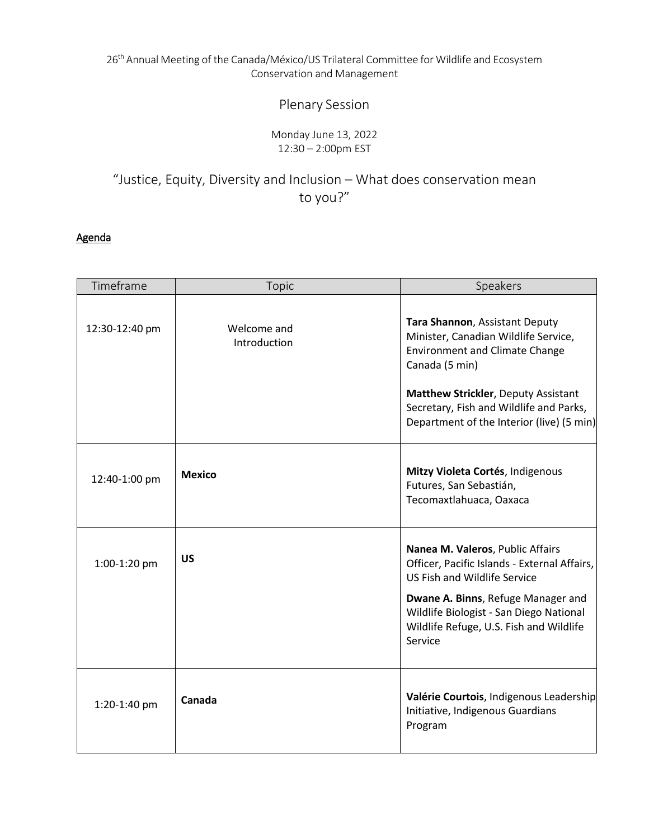#### 26<sup>th</sup> Annual Meeting of the Canada/México/US Trilateral Committee for Wildlife and Ecosystem Conservation and Management

# Plenary Session

#### Monday June 13, 2022 12:30 – 2:00pm EST

## "Justice, Equity, Diversity and Inclusion – What does conservation mean to you?"

### Agenda

| Timeframe      | Topic                       | Speakers                                                                                                                                                                                                                                                         |
|----------------|-----------------------------|------------------------------------------------------------------------------------------------------------------------------------------------------------------------------------------------------------------------------------------------------------------|
| 12:30-12:40 pm | Welcome and<br>Introduction | Tara Shannon, Assistant Deputy<br>Minister, Canadian Wildlife Service,<br><b>Environment and Climate Change</b><br>Canada (5 min)<br>Matthew Strickler, Deputy Assistant<br>Secretary, Fish and Wildlife and Parks,<br>Department of the Interior (live) (5 min) |
| 12:40-1:00 pm  | <b>Mexico</b>               | Mitzy Violeta Cortés, Indigenous<br>Futures, San Sebastián,<br>Tecomaxtlahuaca, Oaxaca                                                                                                                                                                           |
| 1:00-1:20 pm   | <b>US</b>                   | Nanea M. Valeros, Public Affairs<br>Officer, Pacific Islands - External Affairs,<br><b>US Fish and Wildlife Service</b><br>Dwane A. Binns, Refuge Manager and<br>Wildlife Biologist - San Diego National<br>Wildlife Refuge, U.S. Fish and Wildlife<br>Service   |
| 1:20-1:40 pm   | Canada                      | Valérie Courtois, Indigenous Leadership<br>Initiative, Indigenous Guardians<br>Program                                                                                                                                                                           |